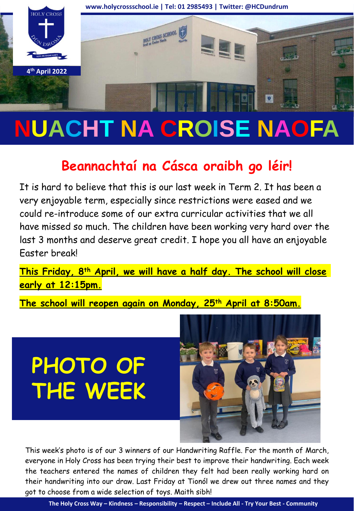

# **NUACHT NA CROISE NAOFA**

# **Beannachtaí na Cásca oraibh go léir!**

It is hard to believe that this is our last week in Term 2. It has been a very enjoyable term, especially since restrictions were eased and we could re-introduce some of our extra curricular activities that we all have missed so much. The children have been working very hard over the last 3 months and deserve great credit. I hope you all have an enjoyable Easter break!

**This Friday, 8th April, we will have a half day. The school will close early at 12:15pm.**

**The school will reopen again on Monday, 25th April at 8:50am.**

**PHOTO OF THE WEEK**



This week's photo is of our 3 winners of our Handwriting Raffle. For the month of March, everyone in Holy Cross has been trying their best to improve their handwriting. Each week the teachers entered the names of children they felt had been really working hard on their handwriting into our draw. Last Friday at Tionól we drew out three names and they got to choose from a wide selection of toys. Maith sibh!